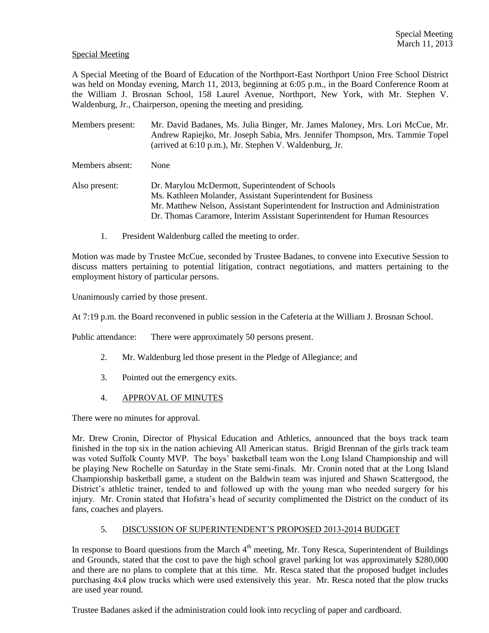## Special Meeting

A Special Meeting of the Board of Education of the Northport-East Northport Union Free School District was held on Monday evening, March 11, 2013, beginning at 6:05 p.m., in the Board Conference Room at the William J. Brosnan School, 158 Laurel Avenue, Northport, New York, with Mr. Stephen V. Waldenburg, Jr., Chairperson, opening the meeting and presiding.

Members present: Mr. David Badanes, Ms. Julia Binger, Mr. James Maloney, Mrs. Lori McCue, Mr. Andrew Rapiejko, Mr. Joseph Sabia, Mrs. Jennifer Thompson, Mrs. Tammie Topel (arrived at 6:10 p.m.), Mr. Stephen V. Waldenburg, Jr.

Members absent: None

- Also present: Dr. Marylou McDermott, Superintendent of Schools Ms. Kathleen Molander, Assistant Superintendent for Business Mr. Matthew Nelson, Assistant Superintendent for Instruction and Administration Dr. Thomas Caramore, Interim Assistant Superintendent for Human Resources
	- 1. President Waldenburg called the meeting to order.

Motion was made by Trustee McCue, seconded by Trustee Badanes, to convene into Executive Session to discuss matters pertaining to potential litigation, contract negotiations, and matters pertaining to the employment history of particular persons.

Unanimously carried by those present.

At 7:19 p.m. the Board reconvened in public session in the Cafeteria at the William J. Brosnan School.

Public attendance: There were approximately 50 persons present.

- 2. Mr. Waldenburg led those present in the Pledge of Allegiance; and
- 3. Pointed out the emergency exits.
- 4. APPROVAL OF MINUTES

There were no minutes for approval.

Mr. Drew Cronin, Director of Physical Education and Athletics, announced that the boys track team finished in the top six in the nation achieving All American status. Brigid Brennan of the girls track team was voted Suffolk County MVP. The boys' basketball team won the Long Island Championship and will be playing New Rochelle on Saturday in the State semi-finals. Mr. Cronin noted that at the Long Island Championship basketball game, a student on the Baldwin team was injured and Shawn Scattergood, the District's athletic trainer, tended to and followed up with the young man who needed surgery for his injury. Mr. Cronin stated that Hofstra's head of security complimented the District on the conduct of its fans, coaches and players.

## 5. DISCUSSION OF SUPERINTENDENT'S PROPOSED 2013-2014 BUDGET

In response to Board questions from the March 4<sup>th</sup> meeting, Mr. Tony Resca, Superintendent of Buildings and Grounds, stated that the cost to pave the high school gravel parking lot was approximately \$280,000 and there are no plans to complete that at this time. Mr. Resca stated that the proposed budget includes purchasing 4x4 plow trucks which were used extensively this year. Mr. Resca noted that the plow trucks are used year round.

Trustee Badanes asked if the administration could look into recycling of paper and cardboard.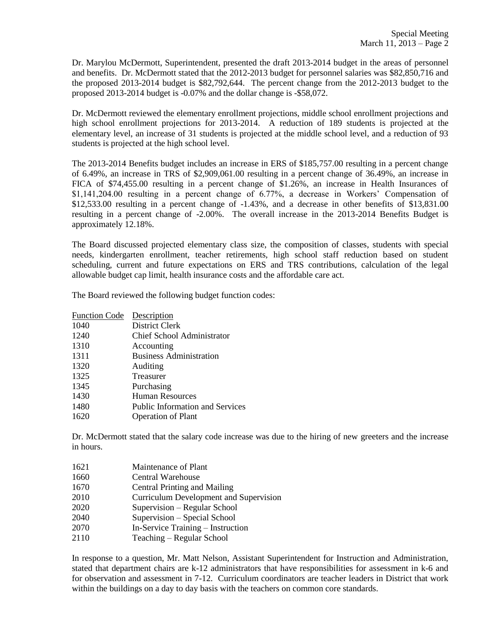Dr. Marylou McDermott, Superintendent, presented the draft 2013-2014 budget in the areas of personnel and benefits. Dr. McDermott stated that the 2012-2013 budget for personnel salaries was \$82,850,716 and the proposed 2013-2014 budget is \$82,792,644. The percent change from the 2012-2013 budget to the proposed 2013-2014 budget is -0.07% and the dollar change is -\$58,072.

Dr. McDermott reviewed the elementary enrollment projections, middle school enrollment projections and high school enrollment projections for 2013-2014. A reduction of 189 students is projected at the elementary level, an increase of 31 students is projected at the middle school level, and a reduction of 93 students is projected at the high school level.

The 2013-2014 Benefits budget includes an increase in ERS of \$185,757.00 resulting in a percent change of 6.49%, an increase in TRS of \$2,909,061.00 resulting in a percent change of 36.49%, an increase in FICA of \$74,455.00 resulting in a percent change of \$1.26%, an increase in Health Insurances of \$1,141,204.00 resulting in a percent change of 6.77%, a decrease in Workers' Compensation of \$12,533.00 resulting in a percent change of -1.43%, and a decrease in other benefits of \$13,831.00 resulting in a percent change of -2.00%. The overall increase in the 2013-2014 Benefits Budget is approximately 12.18%.

The Board discussed projected elementary class size, the composition of classes, students with special needs, kindergarten enrollment, teacher retirements, high school staff reduction based on student scheduling, current and future expectations on ERS and TRS contributions, calculation of the legal allowable budget cap limit, health insurance costs and the affordable care act.

The Board reviewed the following budget function codes:

| Description                            |
|----------------------------------------|
| District Clerk                         |
| Chief School Administrator             |
| Accounting                             |
| <b>Business Administration</b>         |
| Auditing                               |
| <b>Treasurer</b>                       |
| Purchasing                             |
| Human Resources                        |
| <b>Public Information and Services</b> |
| <b>Operation of Plant</b>              |
|                                        |

Dr. McDermott stated that the salary code increase was due to the hiring of new greeters and the increase in hours.

- 1621 Maintenance of Plant
- 1660 Central Warehouse
- 1670 Central Printing and Mailing
- 2010 Curriculum Development and Supervision
- 2020 Supervision Regular School
- 2040 Supervision Special School
- 2070 In-Service Training Instruction
- 2110 Teaching Regular School

In response to a question, Mr. Matt Nelson, Assistant Superintendent for Instruction and Administration, stated that department chairs are k-12 administrators that have responsibilities for assessment in k-6 and for observation and assessment in 7-12. Curriculum coordinators are teacher leaders in District that work within the buildings on a day to day basis with the teachers on common core standards.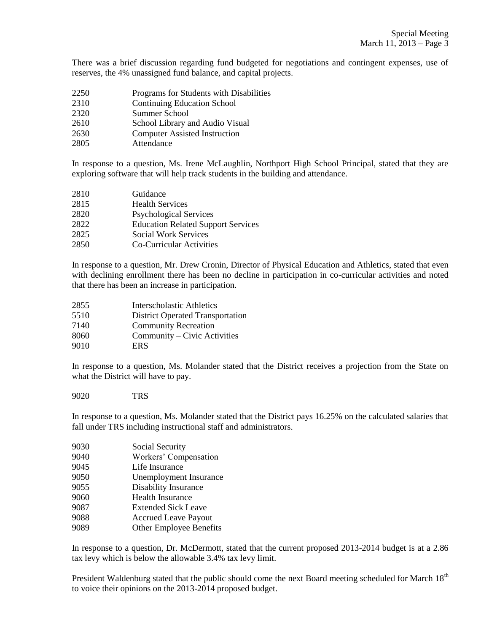There was a brief discussion regarding fund budgeted for negotiations and contingent expenses, use of reserves, the 4% unassigned fund balance, and capital projects.

- Programs for Students with Disabilities
- Continuing Education School
- Summer School
- School Library and Audio Visual
- Computer Assisted Instruction
- Attendance

In response to a question, Ms. Irene McLaughlin, Northport High School Principal, stated that they are exploring software that will help track students in the building and attendance.

| 2810 | Guidance                                  |
|------|-------------------------------------------|
| 2815 | <b>Health Services</b>                    |
| 2820 | <b>Psychological Services</b>             |
| 2822 | <b>Education Related Support Services</b> |
| 2825 | <b>Social Work Services</b>               |
| 2850 | Co-Curricular Activities                  |

In response to a question, Mr. Drew Cronin, Director of Physical Education and Athletics, stated that even with declining enrollment there has been no decline in participation in co-curricular activities and noted that there has been an increase in participation.

| 2855 | <b>Interscholastic Athletics</b>        |
|------|-----------------------------------------|
| 5510 | <b>District Operated Transportation</b> |
| 7140 | <b>Community Recreation</b>             |
| 8060 | Community – Civic Activities            |
| 9010 | <b>ERS</b>                              |

In response to a question, Ms. Molander stated that the District receives a projection from the State on what the District will have to pay.

TRS

In response to a question, Ms. Molander stated that the District pays 16.25% on the calculated salaries that fall under TRS including instructional staff and administrators.

| Social Security                |
|--------------------------------|
| Workers' Compensation          |
| Life Insurance                 |
| Unemployment Insurance         |
| <b>Disability Insurance</b>    |
| <b>Health Insurance</b>        |
| <b>Extended Sick Leave</b>     |
| <b>Accrued Leave Payout</b>    |
| <b>Other Employee Benefits</b> |
|                                |

In response to a question, Dr. McDermott, stated that the current proposed 2013-2014 budget is at a 2.86 tax levy which is below the allowable 3.4% tax levy limit.

President Waldenburg stated that the public should come the next Board meeting scheduled for March  $18<sup>th</sup>$ to voice their opinions on the 2013-2014 proposed budget.